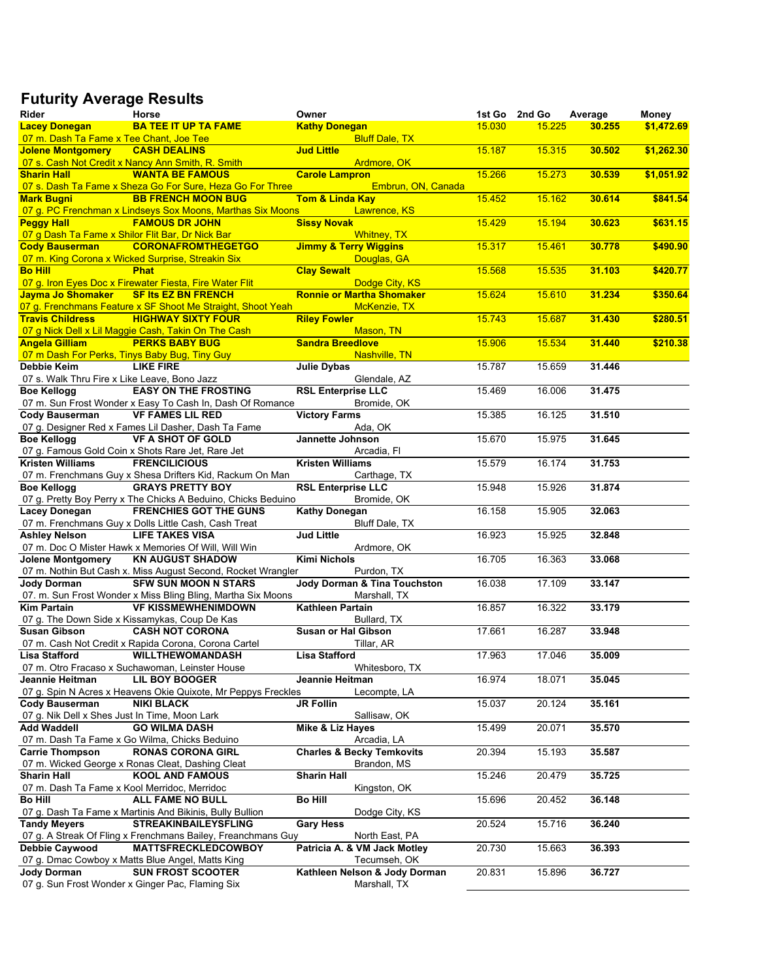## **Futurity Average Results**

| Rider                                            | Horse                                                         | Owner                                |        | 1st Go 2nd Go | Average | Money      |
|--------------------------------------------------|---------------------------------------------------------------|--------------------------------------|--------|---------------|---------|------------|
| <b>Lacey Donegan</b>                             | <b>BA TEE IT UP TA FAME</b>                                   | <b>Kathy Donegan</b>                 | 15.030 | 15.225        | 30.255  | \$1,472.69 |
| 07 m. Dash Ta Fame x Tee Chant, Joe Tee          |                                                               | <b>Bluff Dale, TX</b>                |        |               |         |            |
| <b>Jolene Montgomery</b>                         | <b>CASH DEALINS</b>                                           | <b>Jud Little</b>                    | 15.187 | 15.315        | 30.502  | \$1,262.30 |
|                                                  | 07 s. Cash Not Credit x Nancy Ann Smith, R. Smith             | Ardmore, OK                          |        |               |         |            |
| <b>Sharin Hall</b>                               | <b>WANTA BE FAMOUS</b>                                        | <b>Carole Lampron</b>                | 15.266 | 15.273        | 30.539  | \$1,051.92 |
|                                                  | 07 s. Dash Ta Fame x Sheza Go For Sure, Heza Go For Three     | Embrun, ON, Canada                   |        |               |         |            |
| <b>Mark Bugni</b>                                | <b>BB FRENCH MOON BUG</b>                                     | <b>Tom &amp; Linda Kay</b>           | 15.452 | 15.162        | 30.614  | \$841.54   |
|                                                  | 07 g. PC Frenchman x Lindseys Sox Moons, Marthas Six Moons    | Lawrence, KS                         |        |               |         |            |
| <b>Peggy Hall</b>                                | <b>FAMOUS DR JOHN</b>                                         | <b>Sissy Novak</b>                   | 15.429 | 15.194        | 30.623  | \$631.15   |
| 07 g Dash Ta Fame x Shilor Flit Bar, Dr Nick Bar |                                                               | <b>Whitney, TX</b>                   |        |               |         |            |
| <b>Cody Bauserman</b>                            | <b>CORONAFROMTHEGETGO</b>                                     | <b>Jimmy &amp; Terry Wiggins</b>     | 15.317 | 15.461        | 30.778  | \$490.90   |
|                                                  | 07 m. King Corona x Wicked Surprise, Streakin Six             | Douglas, GA                          |        |               |         |            |
| <b>Bo Hill</b>                                   | <b>Phat</b>                                                   | <b>Clay Sewalt</b>                   | 15.568 | 15.535        | 31.103  | \$420.77   |
|                                                  | 07 g. Iron Eyes Doc x Firewater Fiesta, Fire Water Flit       | Dodge City, KS                       |        |               |         |            |
| Jayma Jo Shomaker                                | <b>SF Its EZ BN FRENCH</b>                                    | <b>Ronnie or Martha Shomaker</b>     | 15.624 | 15.610        | 31.234  | \$350.64   |
|                                                  | 07 g. Frenchmans Feature x SF Shoot Me Straight, Shoot Yeah   | McKenzie, TX                         |        |               |         |            |
| <b>Travis Childress</b>                          | <b>HIGHWAY SIXTY FOUR</b>                                     | <b>Riley Fowler</b>                  | 15.743 | 15.687        | 31.430  | \$280.51   |
|                                                  | 07 g Nick Dell x Lil Maggie Cash, Takin On The Cash           | Mason, TN                            |        |               |         |            |
| <b>Angela Gilliam</b>                            | <b>PERKS BABY BUG</b>                                         | <b>Sandra Breedlove</b>              | 15.906 | 15.534        | 31.440  | \$210.38   |
| 07 m Dash For Perks, Tinys Baby Bug, Tiny Guy    |                                                               | Nashville, TN                        |        |               |         |            |
| Debbie Keim                                      | <b>LIKE FIRE</b>                                              | <b>Julie Dybas</b>                   | 15.787 | 15.659        | 31.446  |            |
| 07 s. Walk Thru Fire x Like Leave, Bono Jazz     |                                                               | Glendale, AZ                         |        |               |         |            |
| <b>Boe Kellogg</b>                               | <b>EASY ON THE FROSTING</b>                                   | <b>RSL Enterprise LLC</b>            | 15.469 | 16.006        | 31.475  |            |
|                                                  | 07 m. Sun Frost Wonder x Easy To Cash In, Dash Of Romance     | Bromide, OK                          |        |               |         |            |
| <b>Cody Bauserman</b>                            | <b>VF FAMES LIL RED</b>                                       | <b>Victory Farms</b>                 | 15.385 | 16.125        | 31.510  |            |
|                                                  | 07 g. Designer Red x Fames Lil Dasher, Dash Ta Fame           | Ada, OK                              |        |               |         |            |
| <b>Boe Kellogg</b>                               | <b>VF A SHOT OF GOLD</b>                                      | Jannette Johnson                     | 15.670 | 15.975        | 31.645  |            |
|                                                  | 07 g. Famous Gold Coin x Shots Rare Jet, Rare Jet             | Arcadia, Fl                          |        |               |         |            |
| <b>Kristen Williams</b>                          | <b>FRENCILICIOUS</b>                                          | <b>Kristen Williams</b>              | 15.579 | 16.174        | 31.753  |            |
|                                                  | 07 m. Frenchmans Guy x Shesa Drifters Kid, Rackum On Man      | Carthage, TX                         |        |               |         |            |
| <b>Boe Kellogg</b>                               | <b>GRAYS PRETTY BOY</b>                                       | <b>RSL Enterprise LLC</b>            | 15.948 | 15.926        | 31.874  |            |
|                                                  | 07 g. Pretty Boy Perry x The Chicks A Beduino, Chicks Beduino | Bromide, OK                          |        |               |         |            |
| <b>Lacey Donegan</b>                             | <b>FRENCHIES GOT THE GUNS</b>                                 | <b>Kathy Donegan</b>                 | 16.158 | 15.905        | 32.063  |            |
|                                                  | 07 m. Frenchmans Guy x Dolls Little Cash, Cash Treat          | Bluff Dale, TX                       |        |               |         |            |
| <b>Ashley Nelson</b>                             | <b>LIFE TAKES VISA</b>                                        | <b>Jud Little</b>                    | 16.923 | 15.925        | 32.848  |            |
|                                                  | 07 m. Doc O Mister Hawk x Memories Of Will, Will Win          | Ardmore, OK                          |        |               |         |            |
| <b>Jolene Montgomery</b>                         | <b>KN AUGUST SHADOW</b>                                       | <b>Kimi Nichols</b>                  | 16.705 | 16.363        | 33.068  |            |
|                                                  | 07 m. Nothin But Cash x. Miss August Second, Rocket Wrangler  | Purdon, TX                           |        |               |         |            |
| <b>Jody Dorman</b>                               | <b>SFW SUN MOON N STARS</b>                                   | Jody Dorman & Tina Touchston         | 16.038 | 17.109        | 33.147  |            |
|                                                  | 07. m. Sun Frost Wonder x Miss Bling Bling, Martha Six Moons  | Marshall, TX                         |        |               |         |            |
| <b>Kim Partain</b>                               | <b>VF KISSMEWHENIMDOWN</b>                                    | Kathleen Partain                     | 16.857 | 16.322        | 33.179  |            |
|                                                  | 07 g. The Down Side x Kissamykas, Coup De Kas                 | Bullard, TX                          |        |               |         |            |
| <b>Susan Gibson</b>                              | <b>CASH NOT CORONA</b>                                        | <b>Susan or Hal Gibson</b>           | 17.661 | 16.287        | 33.948  |            |
|                                                  | 07 m. Cash Not Credit x Rapida Corona, Corona Cartel          | Tillar, AR                           |        |               |         |            |
| Lisa Stafford                                    | <b>WILLTHEWOMANDASH</b>                                       | <b>Lisa Stafford</b>                 | 17.963 | 17.046        | 35.009  |            |
|                                                  | 07 m. Otro Fracaso x Suchawoman, Leinster House               | Whitesboro, TX                       |        |               |         |            |
| Jeannie Heitman                                  | <b>LIL BOY BOOGER</b>                                         | Jeannie Heitman                      | 16.974 | 18.071        | 35.045  |            |
|                                                  | 07 g. Spin N Acres x Heavens Okie Quixote, Mr Peppys Freckles | Lecompte, LA                         |        |               |         |            |
| <b>Cody Bauserman</b>                            | <b>NIKI BLACK</b>                                             | <b>JR Follin</b>                     | 15.037 | 20.124        | 35.161  |            |
| 07 g. Nik Dell x Shes Just In Time, Moon Lark    |                                                               | Sallisaw, OK                         |        |               |         |            |
| <b>Add Waddell</b>                               | <b>GO WILMA DASH</b>                                          | Mike & Liz Hayes                     | 15.499 | 20.071        | 35.570  |            |
|                                                  | 07 m. Dash Ta Fame x Go Wilma, Chicks Beduino                 | Arcadia, LA                          |        |               |         |            |
| <b>Carrie Thompson</b>                           | <b>RONAS CORONA GIRL</b>                                      | <b>Charles &amp; Becky Temkovits</b> | 20.394 | 15.193        | 35.587  |            |
|                                                  | 07 m. Wicked George x Ronas Cleat, Dashing Cleat              | Brandon, MS                          |        |               |         |            |
| <b>Sharin Hall</b>                               | <b>KOOL AND FAMOUS</b>                                        | <b>Sharin Hall</b>                   | 15.246 | 20.479        | 35.725  |            |
| 07 m. Dash Ta Fame x Kool Merridoc, Merridoc     |                                                               | Kingston, OK                         |        |               |         |            |
| <b>Bo Hill</b>                                   | ALL FAME NO BULL                                              | <b>Bo Hill</b>                       | 15.696 | 20.452        | 36.148  |            |
|                                                  | 07 g. Dash Ta Fame x Martinis And Bikinis, Bully Bullion      | Dodge City, KS                       |        |               |         |            |
| <b>Tandy Meyers</b>                              | <b>STREAKINBAILEYSFLING</b>                                   | <b>Gary Hess</b>                     | 20.524 | 15.716        | 36.240  |            |
|                                                  | 07 g. A Streak Of Fling x Frenchmans Bailey, Freanchmans Guy  | North East, PA                       |        |               |         |            |
| <b>Debbie Caywood</b>                            | <b>MATTSFRECKLEDCOWBOY</b>                                    | Patricia A. & VM Jack Motley         | 20.730 | 15.663        | 36.393  |            |
|                                                  | 07 g. Dmac Cowboy x Matts Blue Angel, Matts King              | Tecumseh, OK                         |        |               |         |            |
| <b>Jody Dorman</b>                               | <b>SUN FROST SCOOTER</b>                                      | Kathleen Nelson & Jody Dorman        | 20.831 | 15.896        | 36.727  |            |
|                                                  | 07 g. Sun Frost Wonder x Ginger Pac, Flaming Six              | Marshall, TX                         |        |               |         |            |